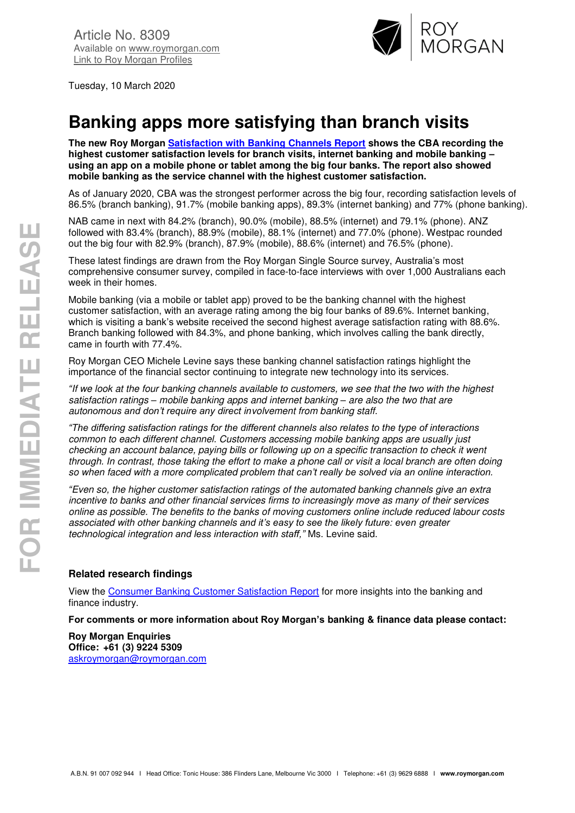

Tuesday, 10 March 2020

# **Banking apps more satisfying than branch visits**

**The new Roy Morgan [Satisfaction with Banking Channels Report](https://store.roymorgan.com/products/australia/banking-and-finance/satisfaction) shows the CBA recording the highest customer satisfaction levels for branch visits, internet banking and mobile banking – using an app on a mobile phone or tablet among the big four banks. The report also showed mobile banking as the service channel with the highest customer satisfaction.** 

As of January 2020, CBA was the strongest performer across the big four, recording satisfaction levels of 86.5% (branch banking), 91.7% (mobile banking apps), 89.3% (internet banking) and 77% (phone banking).

NAB came in next with 84.2% (branch), 90.0% (mobile), 88.5% (internet) and 79.1% (phone). ANZ followed with 83.4% (branch), 88.9% (mobile), 88.1% (internet) and 77.0% (phone). Westpac rounded out the big four with 82.9% (branch), 87.9% (mobile), 88.6% (internet) and 76.5% (phone).

These latest findings are drawn from the Roy Morgan Single Source survey, Australia's most comprehensive consumer survey, compiled in face-to-face interviews with over 1,000 Australians each week in their homes.

Mobile banking (via a mobile or tablet app) proved to be the banking channel with the highest customer satisfaction, with an average rating among the big four banks of 89.6%. Internet banking, which is visiting a bank's website received the second highest average satisfaction rating with 88.6%. Branch banking followed with 84.3%, and phone banking, which involves calling the bank directly, came in fourth with 77.4%.

Roy Morgan CEO Michele Levine says these banking channel satisfaction ratings highlight the importance of the financial sector continuing to integrate new technology into its services.

*"If we look at the four banking channels available to customers, we see that the two with the highest satisfaction ratings – mobile banking apps and internet banking – are also the two that are autonomous and don't require any direct involvement from banking staff.* 

*"The differing satisfaction ratings for the different channels also relates to the type of interactions common to each different channel. Customers accessing mobile banking apps are usually just checking an account balance, paying bills or following up on a specific transaction to check it went through. In contrast, those taking the effort to make a phone call or visit a local branch are often doing so when faced with a more complicated problem that can't really be solved via an online interaction.*

*"Even so, the higher customer satisfaction ratings of the automated banking channels give an extra incentive to banks and other financial services firms to increasingly move as many of their services online as possible. The benefits to the banks of moving customers online include reduced labour costs associated with other banking channels and it's easy to see the likely future: even greater technological integration and less interaction with staff,"* Ms. Levine said.

# **Related research findings**

View the [Consumer Banking Customer Satisfaction Report](https://store.roymorgan.com/products/australia/banking-and-finance/satisfaction) for more insights into the banking and finance industry.

**For comments or more information about Roy Morgan's banking & finance data please contact:** 

**Roy Morgan Enquiries Office: +61 (3) 9224 5309**  [askroymorgan@roymorgan.com](mailto:askroymorgan@roymorgan.com)